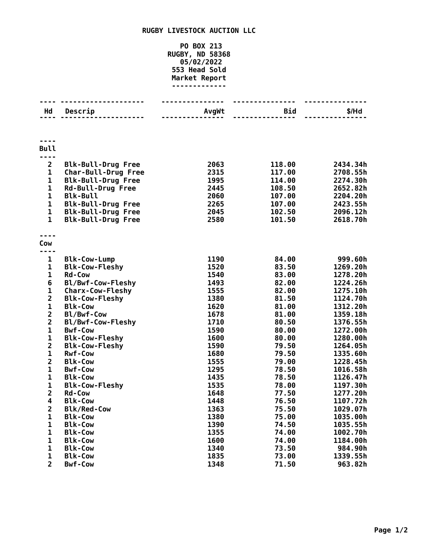## **RUGBY LIVESTOCK AUCTION LLC**

## **PO BOX 213 RUGBY, ND 58368 05/02/2022 Head Sold Market Report -------------**

| Hd                           | Descrip                                 | AvgWt        | <b>Bid</b>     | \$/Hd                |
|------------------------------|-----------------------------------------|--------------|----------------|----------------------|
|                              |                                         |              |                |                      |
| <b>Bull</b>                  |                                         |              |                |                      |
|                              |                                         |              |                |                      |
| $\mathbf{2}$                 | <b>Blk-Bull-Drug Free</b>               | 2063         | 118.00         | 2434.34h             |
| 1                            | <b>Char-Bull-Drug Free</b>              | 2315         | 117.00         | 2708.55h             |
| 1                            | <b>Blk-Bull-Drug Free</b>               | 1995         | 114.00         | 2274.30h             |
| 1                            | <b>Rd-Bull-Drug Free</b>                | 2445         | 108.50         | 2652.82h             |
| $\mathbf 1$                  | <b>Blk-Bull</b>                         | 2060         | 107.00         | 2204.20h             |
| 1                            | <b>Blk-Bull-Drug Free</b>               | 2265         | 107.00         | 2423.55h             |
| 1                            | <b>Blk-Bull-Drug Free</b>               | 2045         | 102.50         | 2096.12h             |
| 1                            | <b>Blk-Bull-Drug Free</b>               | 2580         | 101.50         | 2618.70h             |
| Cow                          |                                         |              |                |                      |
|                              |                                         |              |                |                      |
| 1                            | <b>Blk-Cow-Lump</b>                     | 1190         | 84.00          | 999.60h              |
| 1                            | <b>Blk-Cow-Fleshy</b>                   | 1520         | 83.50          | 1269.20h             |
| 1                            | <b>Rd-Cow</b>                           | 1540         | 83.00          | 1278.20h             |
| 6                            | Bl/Bwf-Cow-Fleshy                       | 1493         | 82.00          | 1224.26h             |
| 1                            | <b>Charx-Cow-Fleshy</b>                 | 1555         | 82.00          | 1275.10h             |
| $\overline{\mathbf{2}}$      | <b>Blk-Cow-Fleshy</b>                   | 1380         | 81.50          | 1124.70h             |
| $\mathbf 1$                  | <b>Blk-Cow</b>                          | 1620         | 81.00          | 1312.20h             |
| $\overline{\mathbf{c}}$      | Bl/Bwf-Cow                              | 1678         | 81.00          | 1359.18h             |
| $\overline{\mathbf{c}}$      | Bl/Bwf-Cow-Fleshy                       | 1710         | 80.50          | 1376.55h             |
| 1                            | <b>Bwf-Cow</b>                          | 1590         | 80.00          | 1272.00h             |
| 1                            | <b>Blk-Cow-Fleshy</b>                   | 1600         | 80.00          | 1280.00h             |
| $\overline{\mathbf{c}}$<br>1 | <b>Blk-Cow-Fleshy</b><br><b>Rwf-Cow</b> | 1590         | 79.50          | 1264.05h             |
| $\overline{\mathbf{c}}$      | <b>Blk-Cow</b>                          | 1680<br>1555 | 79.50<br>79.00 | 1335.60h<br>1228.45h |
| $\mathbf 1$                  | <b>Bwf-Cow</b>                          | 1295         | 78.50          | 1016.58h             |
| 1                            | <b>Blk-Cow</b>                          | 1435         | 78.50          | 1126.47h             |
| 1                            | <b>Blk-Cow-Fleshy</b>                   | 1535         | 78.00          | 1197.30h             |
| $\overline{\mathbf{c}}$      | <b>Rd-Cow</b>                           | 1648         | 77.50          | 1277.20h             |
| 4                            | <b>Blk-Cow</b>                          | 1448         | 76.50          | 1107.72h             |
| $\mathbf{2}$                 | <b>Blk/Red-Cow</b>                      | 1363         | 75.50          | 1029.07h             |
| 1                            | <b>Blk-Cow</b>                          | 1380         | 75.00          | 1035.00h             |
| 1                            | <b>Blk-Cow</b>                          | 1390         | 74.50          | 1035.55h             |
| 1                            | <b>Blk-Cow</b>                          | 1355         | 74.00          | 1002.70h             |
| 1                            | <b>Blk-Cow</b>                          | 1600         | 74.00          | 1184.00h             |
| $\mathbf{1}$                 | <b>Blk-Cow</b>                          | 1340         | 73.50          | 984.90h              |
| 1                            | <b>Blk-Cow</b>                          | 1835         | 73.00          | 1339.55h             |
| $\overline{2}$               | <b>Bwf-Cow</b>                          | 1348         | 71.50          | 963.82h              |